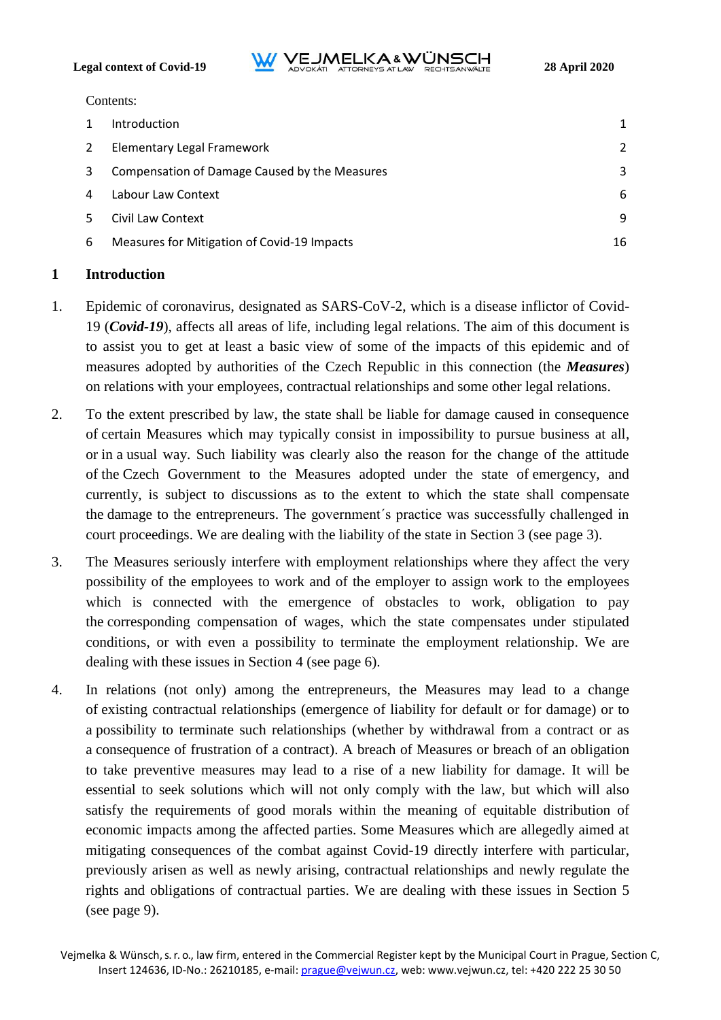**Legal context of Covid-19**<br>**ADVOKATL ATTORNEYS AT LAW RECHTSANWALTE** 28 April 2020

Contents:

|   | <b>Introduction</b>                           |    |
|---|-----------------------------------------------|----|
| 2 | Elementary Legal Framework                    | 2  |
| 3 | Compensation of Damage Caused by the Measures | 3  |
| 4 | Labour Law Context                            | 6  |
|   | Civil Law Context                             | 9  |
| 6 | Measures for Mitigation of Covid-19 Impacts   | 16 |

## <span id="page-0-0"></span>**1 Introduction**

- 1. Epidemic of coronavirus, designated as SARS-CoV-2, which is a disease inflictor of Covid-19 (*Covid-19*), affects all areas of life, including legal relations. The aim of this document is to assist you to get at least a basic view of some of the impacts of this epidemic and of measures adopted by authorities of the Czech Republic in this connection (the *Measures*) on relations with your employees, contractual relationships and some other legal relations.
- 2. To the extent prescribed by law, the state shall be liable for damage caused in consequence of certain Measures which may typically consist in impossibility to pursue business at all, or in a usual way. Such liability was clearly also the reason for the change of the attitude of the Czech Government to the Measures adopted under the state of emergency, and currently, is subject to discussions as to the extent to which the state shall compensate the damage to the entrepreneurs. The government´s practice was successfully challenged in court proceedings. We are dealing with the liability of the state in Section [3](#page-2-0) (see page [3\)](#page-2-0).
- 3. The Measures seriously interfere with employment relationships where they affect the very possibility of the employees to work and of the employer to assign work to the employees which is connected with the emergence of obstacles to work, obligation to pay the corresponding compensation of wages, which the state compensates under stipulated conditions, or with even a possibility to terminate the employment relationship. We are dealing with these issues in Section [4](#page-5-0) (see page [6\)](#page-5-0).
- 4. In relations (not only) among the entrepreneurs, the Measures may lead to a change of existing contractual relationships (emergence of liability for default or for damage) or to a possibility to terminate such relationships (whether by withdrawal from a contract or as a consequence of frustration of a contract). A breach of Measures or breach of an obligation to take preventive measures may lead to a rise of a new liability for damage. It will be essential to seek solutions which will not only comply with the law, but which will also satisfy the requirements of good morals within the meaning of equitable distribution of economic impacts among the affected parties. Some Measures which are allegedly aimed at mitigating consequences of the combat against Covid-19 directly interfere with particular, previously arisen as well as newly arising, contractual relationships and newly regulate the rights and obligations of contractual parties. We are dealing with these issues in Section [5](#page-8-0) (see page [9\)](#page-8-0).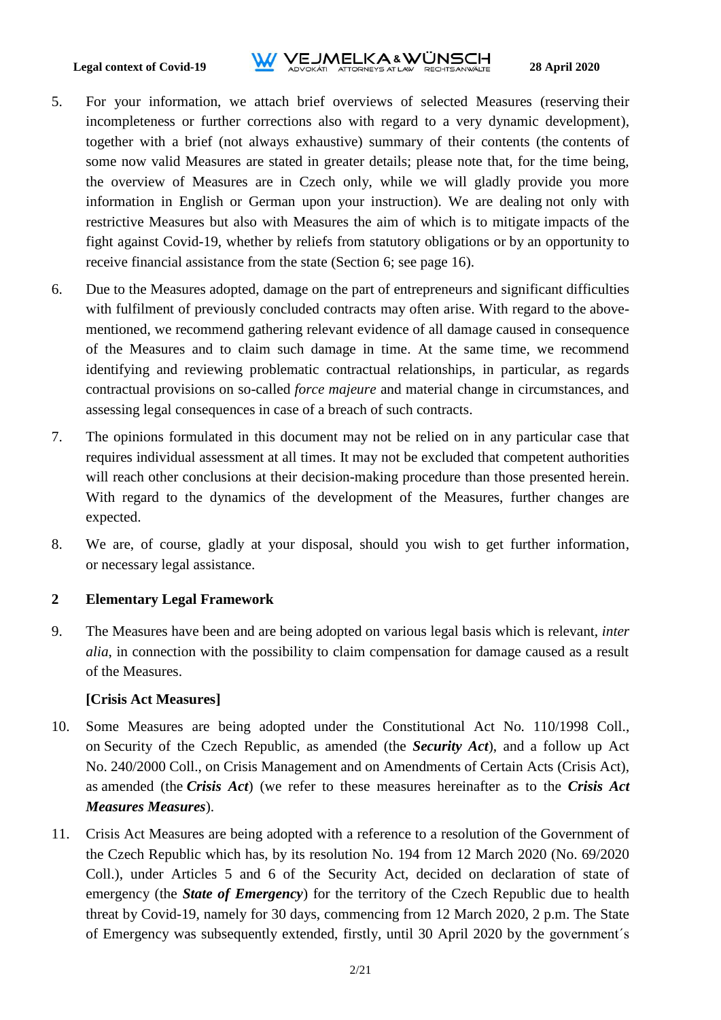# **Legal context of Covid-19**<br>**ADVOKATL ATTORNEYS AT LAW RECHTSANWALTE** 28 April 2020

- 5. For your information, we attach brief overviews of selected Measures (reserving their incompleteness or further corrections also with regard to a very dynamic development), together with a brief (not always exhaustive) summary of their contents (the contents of some now valid Measures are stated in greater details; please note that, for the time being, the overview of Measures are in Czech only, while we will gladly provide you more information in English or German upon your instruction). We are dealing not only with restrictive Measures but also with Measures the aim of which is to mitigate impacts of the fight against Covid-19, whether by reliefs from statutory obligations or by an opportunity to receive financial assistance from the state (Section [6;](#page-15-0) see page [16\)](#page-15-0).
- 6. Due to the Measures adopted, damage on the part of entrepreneurs and significant difficulties with fulfilment of previously concluded contracts may often arise. With regard to the abovementioned, we recommend gathering relevant evidence of all damage caused in consequence of the Measures and to claim such damage in time. At the same time, we recommend identifying and reviewing problematic contractual relationships, in particular, as regards contractual provisions on so-called *force majeure* and material change in circumstances, and assessing legal consequences in case of a breach of such contracts.
- 7. The opinions formulated in this document may not be relied on in any particular case that requires individual assessment at all times. It may not be excluded that competent authorities will reach other conclusions at their decision-making procedure than those presented herein. With regard to the dynamics of the development of the Measures, further changes are expected.
- 8. We are, of course, gladly at your disposal, should you wish to get further information, or necessary legal assistance.

#### <span id="page-1-0"></span>**2 Elementary Legal Framework**

9. The Measures have been and are being adopted on various legal basis which is relevant, *inter alia*, in connection with the possibility to claim compensation for damage caused as a result of the Measures.

#### **[Crisis Act Measures]**

- 10. Some Measures are being adopted under the Constitutional Act No. 110/1998 Coll., on Security of the Czech Republic, as amended (the *Security Act*), and a follow up Act No. 240/2000 Coll., on Crisis Management and on Amendments of Certain Acts (Crisis Act), as amended (the *Crisis Act*) (we refer to these measures hereinafter as to the *Crisis Act Measures Measures*).
- 11. Crisis Act Measures are being adopted with a reference to a resolution of the Government of the Czech Republic which has, by its resolution No. 194 from 12 March 2020 (No. 69/2020 Coll.), under Articles 5 and 6 of the Security Act, decided on declaration of state of emergency (the *State of Emergency*) for the territory of the Czech Republic due to health threat by Covid-19, namely for 30 days, commencing from 12 March 2020, 2 p.m. The State of Emergency was subsequently extended, firstly, until 30 April 2020 by the government´s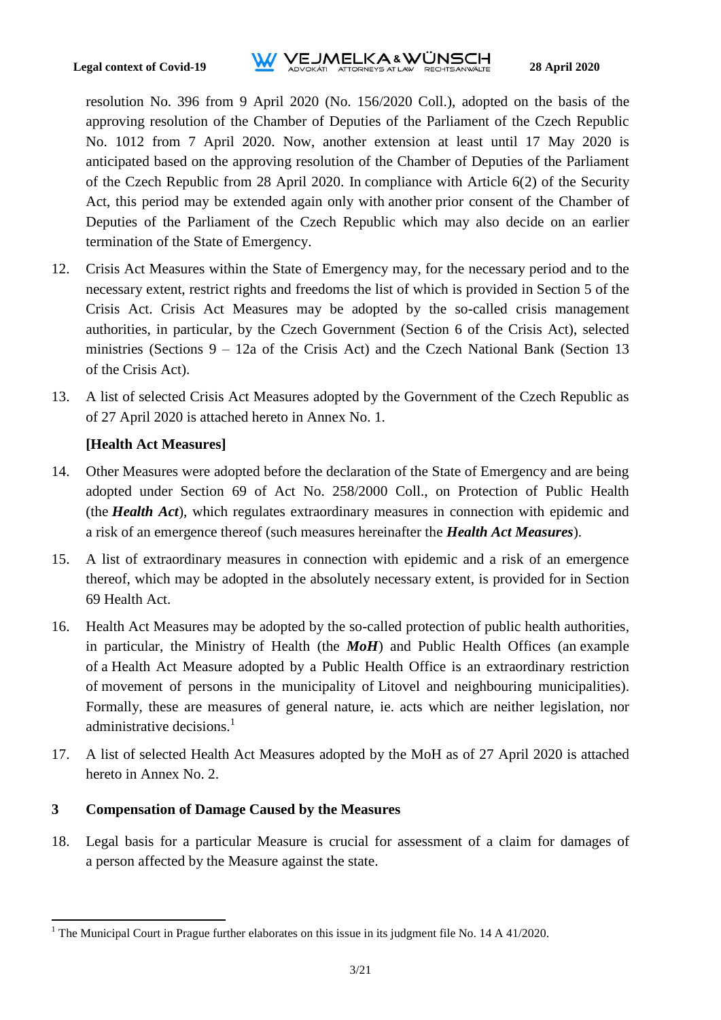resolution No. 396 from 9 April 2020 (No. 156/2020 Coll.), adopted on the basis of the approving resolution of the Chamber of Deputies of the Parliament of the Czech Republic No. 1012 from 7 April 2020. Now, another extension at least until 17 May 2020 is anticipated based on the approving resolution of the Chamber of Deputies of the Parliament of the Czech Republic from 28 April 2020. In compliance with Article 6(2) of the Security Act, this period may be extended again only with another prior consent of the Chamber of Deputies of the Parliament of the Czech Republic which may also decide on an earlier termination of the State of Emergency.

- 12. Crisis Act Measures within the State of Emergency may, for the necessary period and to the necessary extent, restrict rights and freedoms the list of which is provided in Section 5 of the Crisis Act. Crisis Act Measures may be adopted by the so-called crisis management authorities, in particular, by the Czech Government (Section 6 of the Crisis Act), selected ministries (Sections 9 – 12a of the Crisis Act) and the Czech National Bank (Section 13 of the Crisis Act).
- 13. A list of selected Crisis Act Measures adopted by the Government of the Czech Republic as of 27 April 2020 is attached hereto in Annex No. 1.

#### **[Health Act Measures]**

- 14. Other Measures were adopted before the declaration of the State of Emergency and are being adopted under Section 69 of Act No. 258/2000 Coll., on Protection of Public Health (the *Health Act*), which regulates extraordinary measures in connection with epidemic and a risk of an emergence thereof (such measures hereinafter the *Health Act Measures*).
- 15. A list of extraordinary measures in connection with epidemic and a risk of an emergence thereof, which may be adopted in the absolutely necessary extent, is provided for in Section 69 Health Act.
- 16. Health Act Measures may be adopted by the so-called protection of public health authorities, in particular, the Ministry of Health (the *MoH*) and Public Health Offices (an example of a Health Act Measure adopted by a Public Health Office is an extraordinary restriction of movement of persons in the municipality of Litovel and neighbouring municipalities). Formally, these are measures of general nature, ie. acts which are neither legislation, nor administrative decisions.<sup>1</sup>
- 17. A list of selected Health Act Measures adopted by the MoH as of 27 April 2020 is attached hereto in Annex No. 2.

#### <span id="page-2-0"></span>**3 Compensation of Damage Caused by the Measures**

 $\overline{a}$ 

18. Legal basis for a particular Measure is crucial for assessment of a claim for damages of a person affected by the Measure against the state.

<sup>&</sup>lt;sup>1</sup> The Municipal Court in Prague further elaborates on this issue in its judgment file No. 14 A 41/2020.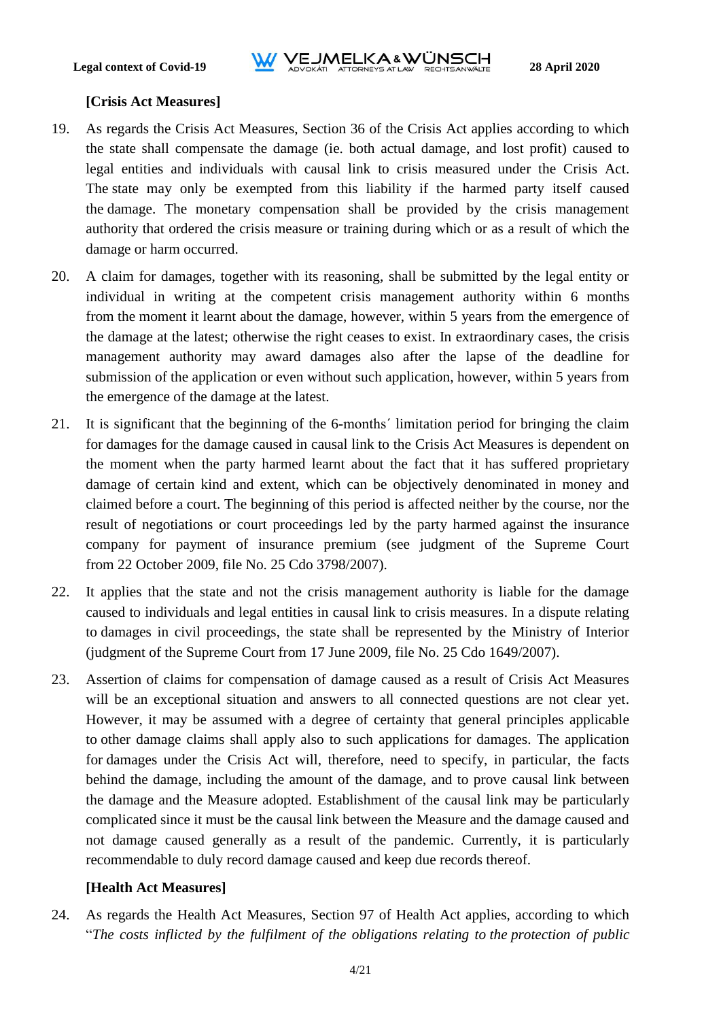## **[Crisis Act Measures]**

- 19. As regards the Crisis Act Measures, Section 36 of the Crisis Act applies according to which the state shall compensate the damage (ie. both actual damage, and lost profit) caused to legal entities and individuals with causal link to crisis measured under the Crisis Act. The state may only be exempted from this liability if the harmed party itself caused the damage. The monetary compensation shall be provided by the crisis management authority that ordered the crisis measure or training during which or as a result of which the damage or harm occurred.
- 20. A claim for damages, together with its reasoning, shall be submitted by the legal entity or individual in writing at the competent crisis management authority within 6 months from the moment it learnt about the damage, however, within 5 years from the emergence of the damage at the latest; otherwise the right ceases to exist. In extraordinary cases, the crisis management authority may award damages also after the lapse of the deadline for submission of the application or even without such application, however, within 5 years from the emergence of the damage at the latest.
- 21. It is significant that the beginning of the 6-months´ limitation period for bringing the claim for damages for the damage caused in causal link to the Crisis Act Measures is dependent on the moment when the party harmed learnt about the fact that it has suffered proprietary damage of certain kind and extent, which can be objectively denominated in money and claimed before a court. The beginning of this period is affected neither by the course, nor the result of negotiations or court proceedings led by the party harmed against the insurance company for payment of insurance premium (see judgment of the Supreme Court from 22 October 2009, file No. 25 Cdo 3798/2007).
- 22. It applies that the state and not the crisis management authority is liable for the damage caused to individuals and legal entities in causal link to crisis measures. In a dispute relating to damages in civil proceedings, the state shall be represented by the Ministry of Interior (judgment of the Supreme Court from 17 June 2009, file No. 25 Cdo 1649/2007).
- 23. Assertion of claims for compensation of damage caused as a result of Crisis Act Measures will be an exceptional situation and answers to all connected questions are not clear yet. However, it may be assumed with a degree of certainty that general principles applicable to other damage claims shall apply also to such applications for damages. The application for damages under the Crisis Act will, therefore, need to specify, in particular, the facts behind the damage, including the amount of the damage, and to prove causal link between the damage and the Measure adopted. Establishment of the causal link may be particularly complicated since it must be the causal link between the Measure and the damage caused and not damage caused generally as a result of the pandemic. Currently, it is particularly recommendable to duly record damage caused and keep due records thereof.

# **[Health Act Measures]**

24. As regards the Health Act Measures, Section 97 of Health Act applies, according to which "*The costs inflicted by the fulfilment of the obligations relating to the protection of public*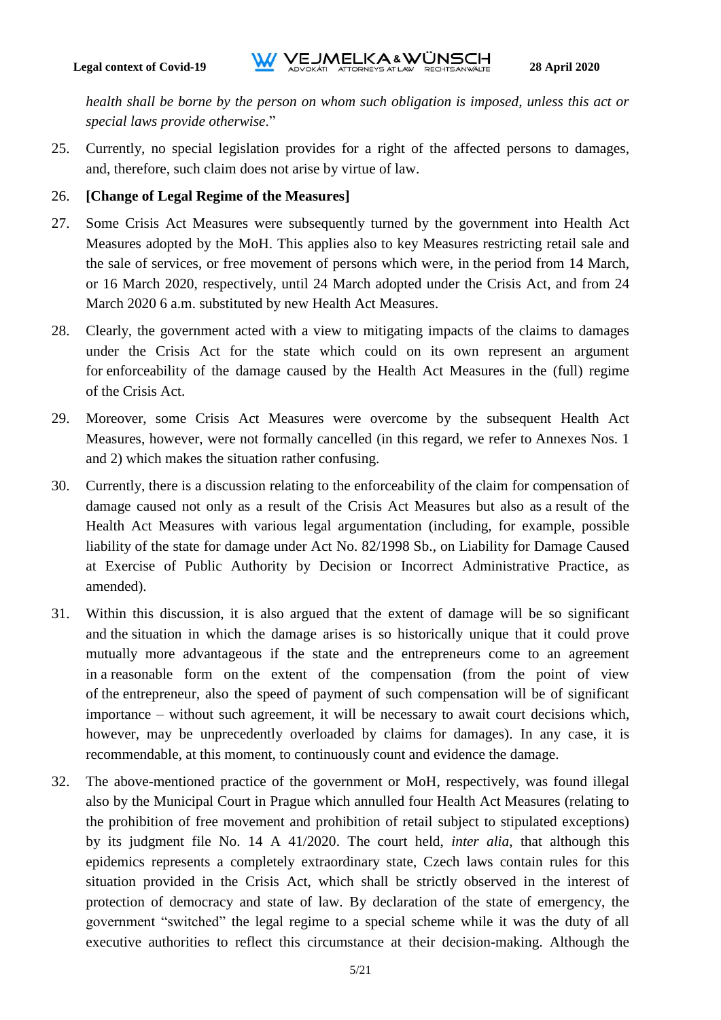*health shall be borne by the person on whom such obligation is imposed, unless this act or special laws provide otherwise*."

25. Currently, no special legislation provides for a right of the affected persons to damages, and, therefore, such claim does not arise by virtue of law.

## 26. **[Change of Legal Regime of the Measures]**

- 27. Some Crisis Act Measures were subsequently turned by the government into Health Act Measures adopted by the MoH. This applies also to key Measures restricting retail sale and the sale of services, or free movement of persons which were, in the period from 14 March, or 16 March 2020, respectively, until 24 March adopted under the Crisis Act, and from 24 March 2020 6 a.m. substituted by new Health Act Measures.
- 28. Clearly, the government acted with a view to mitigating impacts of the claims to damages under the Crisis Act for the state which could on its own represent an argument for enforceability of the damage caused by the Health Act Measures in the (full) regime of the Crisis Act.
- 29. Moreover, some Crisis Act Measures were overcome by the subsequent Health Act Measures, however, were not formally cancelled (in this regard, we refer to Annexes Nos. 1 and 2) which makes the situation rather confusing.
- 30. Currently, there is a discussion relating to the enforceability of the claim for compensation of damage caused not only as a result of the Crisis Act Measures but also as a result of the Health Act Measures with various legal argumentation (including, for example, possible liability of the state for damage under Act No. 82/1998 Sb., on Liability for Damage Caused at Exercise of Public Authority by Decision or Incorrect Administrative Practice, as amended).
- 31. Within this discussion, it is also argued that the extent of damage will be so significant and the situation in which the damage arises is so historically unique that it could prove mutually more advantageous if the state and the entrepreneurs come to an agreement in a reasonable form on the extent of the compensation (from the point of view of the entrepreneur, also the speed of payment of such compensation will be of significant importance – without such agreement, it will be necessary to await court decisions which, however, may be unprecedently overloaded by claims for damages). In any case, it is recommendable, at this moment, to continuously count and evidence the damage.
- 32. The above-mentioned practice of the government or MoH, respectively, was found illegal also by the Municipal Court in Prague which annulled four Health Act Measures (relating to the prohibition of free movement and prohibition of retail subject to stipulated exceptions) by its judgment file No. 14 A 41/2020. The court held, *inter alia*, that although this epidemics represents a completely extraordinary state, Czech laws contain rules for this situation provided in the Crisis Act, which shall be strictly observed in the interest of protection of democracy and state of law. By declaration of the state of emergency, the government "switched" the legal regime to a special scheme while it was the duty of all executive authorities to reflect this circumstance at their decision-making. Although the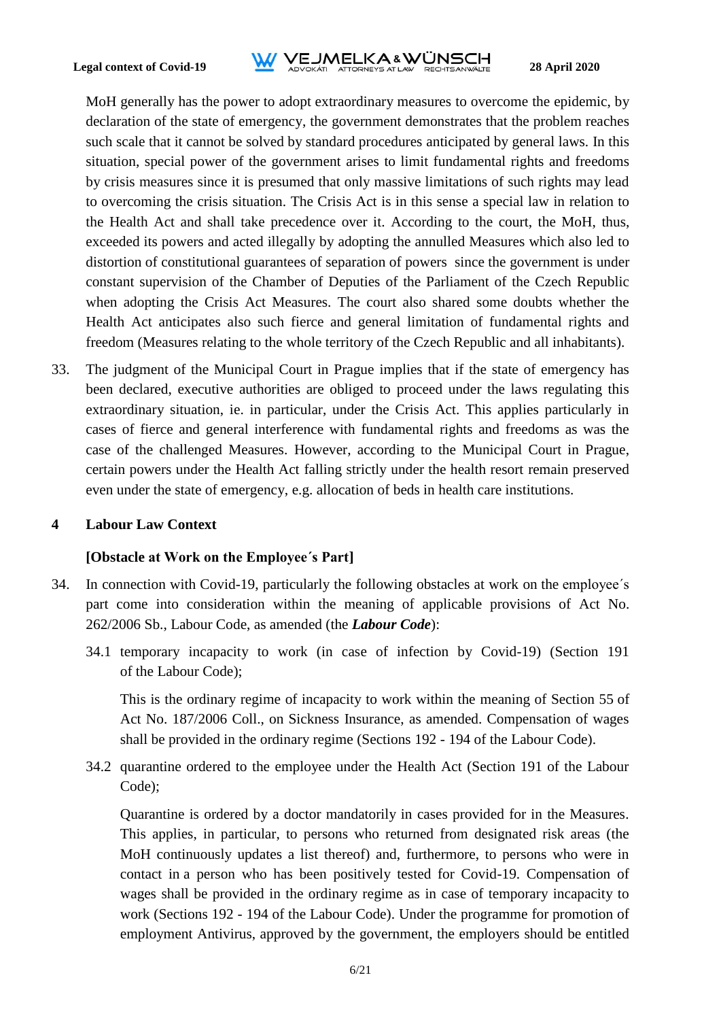

MoH generally has the power to adopt extraordinary measures to overcome the epidemic, by declaration of the state of emergency, the government demonstrates that the problem reaches such scale that it cannot be solved by standard procedures anticipated by general laws. In this situation, special power of the government arises to limit fundamental rights and freedoms by crisis measures since it is presumed that only massive limitations of such rights may lead to overcoming the crisis situation. The Crisis Act is in this sense a special law in relation to the Health Act and shall take precedence over it. According to the court, the MoH, thus, exceeded its powers and acted illegally by adopting the annulled Measures which also led to distortion of constitutional guarantees of separation of powers since the government is under constant supervision of the Chamber of Deputies of the Parliament of the Czech Republic when adopting the Crisis Act Measures. The court also shared some doubts whether the Health Act anticipates also such fierce and general limitation of fundamental rights and freedom (Measures relating to the whole territory of the Czech Republic and all inhabitants).

33. The judgment of the Municipal Court in Prague implies that if the state of emergency has been declared, executive authorities are obliged to proceed under the laws regulating this extraordinary situation, ie. in particular, under the Crisis Act. This applies particularly in cases of fierce and general interference with fundamental rights and freedoms as was the case of the challenged Measures. However, according to the Municipal Court in Prague, certain powers under the Health Act falling strictly under the health resort remain preserved even under the state of emergency, e.g. allocation of beds in health care institutions.

#### <span id="page-5-0"></span>**4 Labour Law Context**

#### **[Obstacle at Work on the Employee´s Part]**

- 34. In connection with Covid-19, particularly the following obstacles at work on the employee´s part come into consideration within the meaning of applicable provisions of Act No. 262/2006 Sb., Labour Code, as amended (the *Labour Code*):
	- 34.1 temporary incapacity to work (in case of infection by Covid-19) (Section 191 of the Labour Code);

This is the ordinary regime of incapacity to work within the meaning of Section 55 of Act No. 187/2006 Coll., on Sickness Insurance, as amended. Compensation of wages shall be provided in the ordinary regime (Sections 192 - 194 of the Labour Code).

34.2 quarantine ordered to the employee under the Health Act (Section 191 of the Labour Code);

Quarantine is ordered by a doctor mandatorily in cases provided for in the Measures. This applies, in particular, to persons who returned from designated risk areas (the MoH continuously updates a list thereof) and, furthermore, to persons who were in contact in a person who has been positively tested for Covid-19. Compensation of wages shall be provided in the ordinary regime as in case of temporary incapacity to work (Sections 192 - 194 of the Labour Code). Under the programme for promotion of employment Antivirus, approved by the government, the employers should be entitled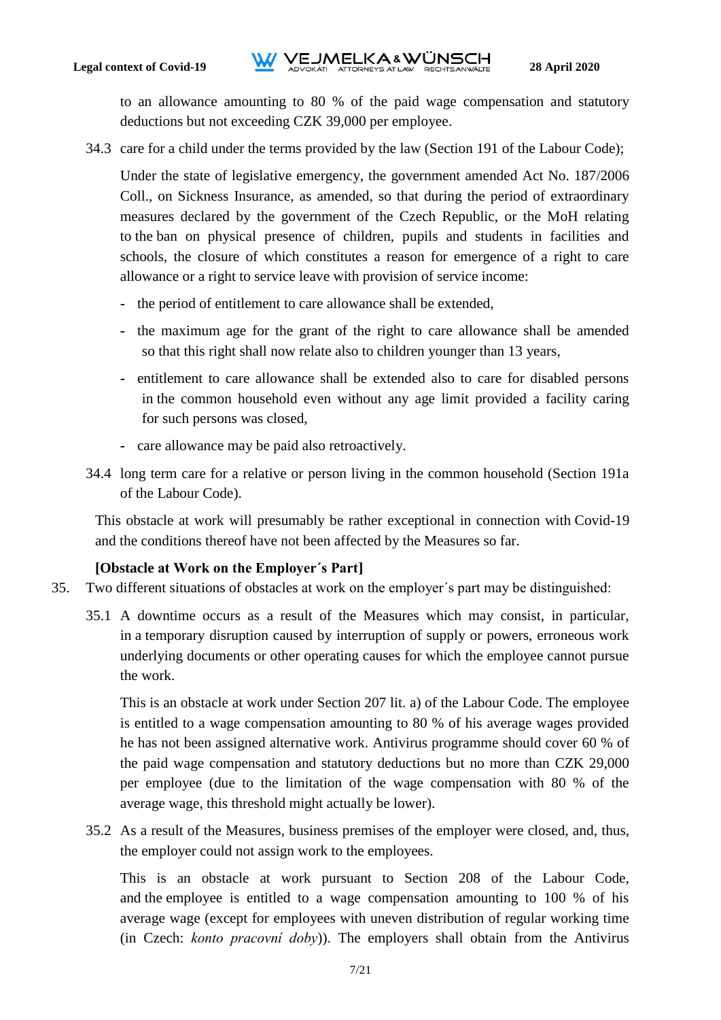to an allowance amounting to 80 % of the paid wage compensation and statutory deductions but not exceeding CZK 39,000 per employee.

34.3 care for a child under the terms provided by the law (Section 191 of the Labour Code);

Under the state of legislative emergency, the government amended Act No. 187/2006 Coll., on Sickness Insurance, as amended, so that during the period of extraordinary measures declared by the government of the Czech Republic, or the MoH relating to the ban on physical presence of children, pupils and students in facilities and schools, the closure of which constitutes a reason for emergence of a right to care allowance or a right to service leave with provision of service income:

- **-** the period of entitlement to care allowance shall be extended,
- **-** the maximum age for the grant of the right to care allowance shall be amended so that this right shall now relate also to children younger than 13 years,
- **-** entitlement to care allowance shall be extended also to care for disabled persons in the common household even without any age limit provided a facility caring for such persons was closed,
- **-** care allowance may be paid also retroactively.
- 34.4 long term care for a relative or person living in the common household (Section 191a of the Labour Code).

This obstacle at work will presumably be rather exceptional in connection with Covid-19 and the conditions thereof have not been affected by the Measures so far.

# **[Obstacle at Work on the Employer´s Part]**

- 35. Two different situations of obstacles at work on the employer´s part may be distinguished:
	- 35.1 A downtime occurs as a result of the Measures which may consist, in particular, in a temporary disruption caused by interruption of supply or powers, erroneous work underlying documents or other operating causes for which the employee cannot pursue the work.

This is an obstacle at work under Section 207 lit. a) of the Labour Code. The employee is entitled to a wage compensation amounting to 80 % of his average wages provided he has not been assigned alternative work. Antivirus programme should cover 60 % of the paid wage compensation and statutory deductions but no more than CZK 29,000 per employee (due to the limitation of the wage compensation with 80 % of the average wage, this threshold might actually be lower).

35.2 As a result of the Measures, business premises of the employer were closed, and, thus, the employer could not assign work to the employees.

This is an obstacle at work pursuant to Section 208 of the Labour Code, and the employee is entitled to a wage compensation amounting to 100 % of his average wage (except for employees with uneven distribution of regular working time (in Czech: *konto pracovní doby*)). The employers shall obtain from the Antivirus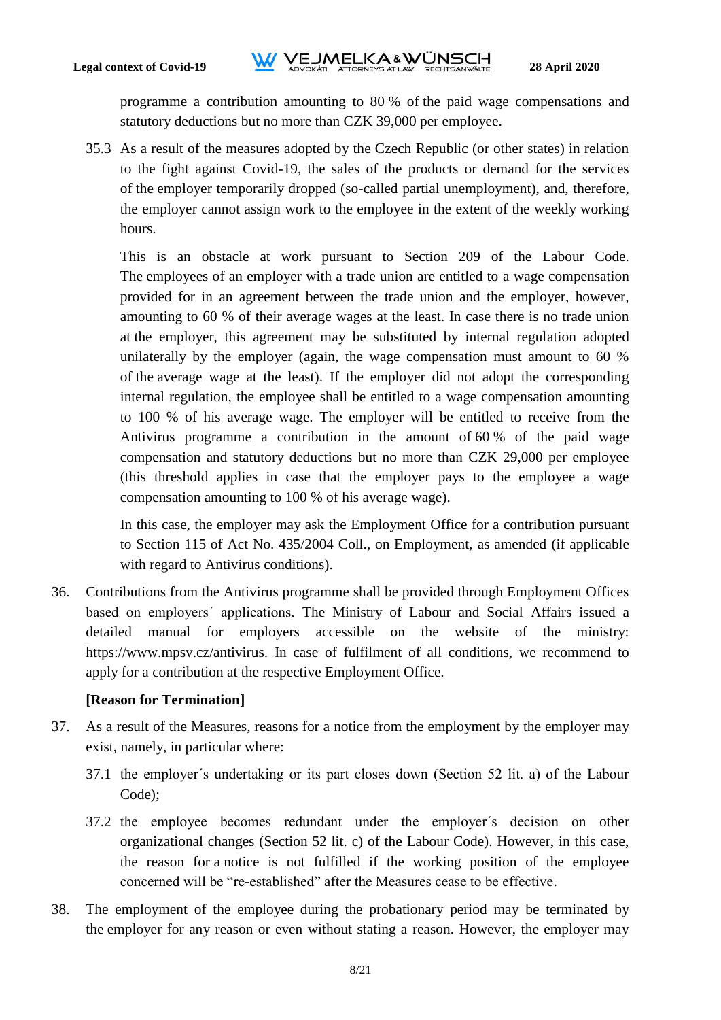programme a contribution amounting to 80 % of the paid wage compensations and statutory deductions but no more than CZK 39,000 per employee.

35.3 As a result of the measures adopted by the Czech Republic (or other states) in relation to the fight against Covid-19, the sales of the products or demand for the services of the employer temporarily dropped (so-called partial unemployment), and, therefore, the employer cannot assign work to the employee in the extent of the weekly working hours.

This is an obstacle at work pursuant to Section 209 of the Labour Code. The employees of an employer with a trade union are entitled to a wage compensation provided for in an agreement between the trade union and the employer, however, amounting to 60 % of their average wages at the least. In case there is no trade union at the employer, this agreement may be substituted by internal regulation adopted unilaterally by the employer (again, the wage compensation must amount to 60 % of the average wage at the least). If the employer did not adopt the corresponding internal regulation, the employee shall be entitled to a wage compensation amounting to 100 % of his average wage. The employer will be entitled to receive from the Antivirus programme a contribution in the amount of 60 % of the paid wage compensation and statutory deductions but no more than CZK 29,000 per employee (this threshold applies in case that the employer pays to the employee a wage compensation amounting to 100 % of his average wage).

In this case, the employer may ask the Employment Office for a contribution pursuant to Section 115 of Act No. 435/2004 Coll., on Employment, as amended (if applicable with regard to Antivirus conditions).

36. Contributions from the Antivirus programme shall be provided through Employment Offices based on employers´ applications. The Ministry of Labour and Social Affairs issued a detailed manual for employers accessible on the website of the ministry: https://www.mpsv.cz/antivirus. In case of fulfilment of all conditions, we recommend to apply for a contribution at the respective Employment Office.

# **[Reason for Termination]**

- 37. As a result of the Measures, reasons for a notice from the employment by the employer may exist, namely, in particular where:
	- 37.1 the employer´s undertaking or its part closes down (Section 52 lit. a) of the Labour Code);
	- 37.2 the employee becomes redundant under the employer´s decision on other organizational changes (Section 52 lit. c) of the Labour Code). However, in this case, the reason for a notice is not fulfilled if the working position of the employee concerned will be "re-established" after the Measures cease to be effective.
- 38. The employment of the employee during the probationary period may be terminated by the employer for any reason or even without stating a reason. However, the employer may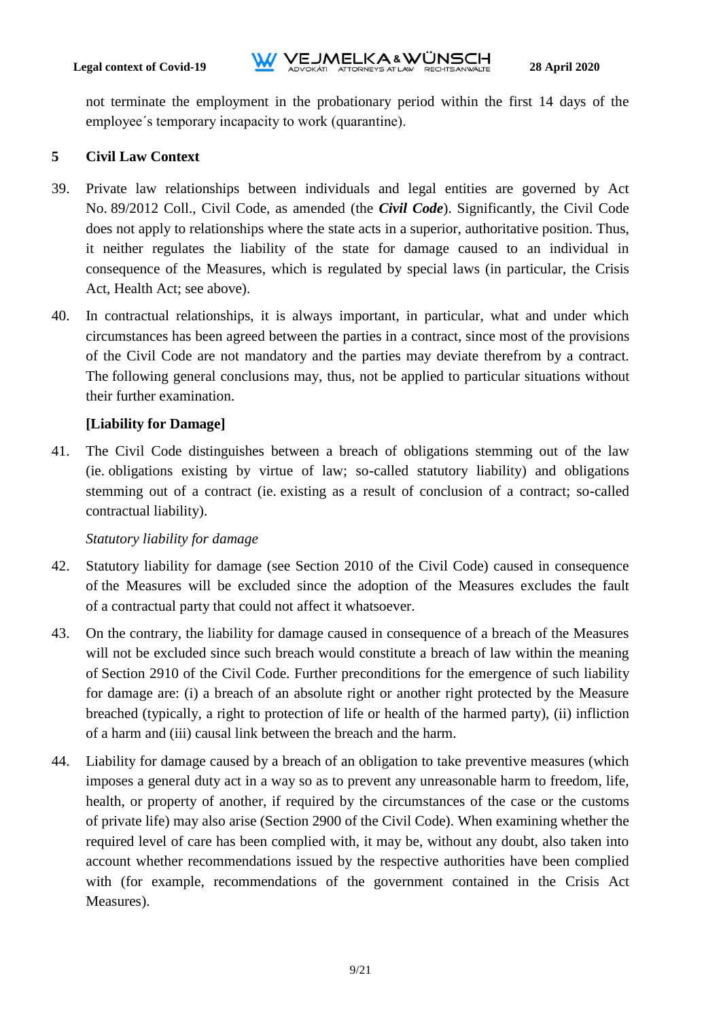not terminate the employment in the probationary period within the first 14 days of the employee´s temporary incapacity to work (quarantine).

## <span id="page-8-0"></span>**5 Civil Law Context**

- 39. Private law relationships between individuals and legal entities are governed by Act No. 89/2012 Coll., Civil Code, as amended (the *Civil Code*). Significantly, the Civil Code does not apply to relationships where the state acts in a superior, authoritative position. Thus, it neither regulates the liability of the state for damage caused to an individual in consequence of the Measures, which is regulated by special laws (in particular, the Crisis Act, Health Act; see above).
- 40. In contractual relationships, it is always important, in particular, what and under which circumstances has been agreed between the parties in a contract, since most of the provisions of the Civil Code are not mandatory and the parties may deviate therefrom by a contract. The following general conclusions may, thus, not be applied to particular situations without their further examination.

## **[Liability for Damage]**

41. The Civil Code distinguishes between a breach of obligations stemming out of the law (ie. obligations existing by virtue of law; so-called statutory liability) and obligations stemming out of a contract (ie. existing as a result of conclusion of a contract; so-called contractual liability).

#### *Statutory liability for damage*

- 42. Statutory liability for damage (see Section 2010 of the Civil Code) caused in consequence of the Measures will be excluded since the adoption of the Measures excludes the fault of a contractual party that could not affect it whatsoever.
- 43. On the contrary, the liability for damage caused in consequence of a breach of the Measures will not be excluded since such breach would constitute a breach of law within the meaning of Section 2910 of the Civil Code. Further preconditions for the emergence of such liability for damage are: (i) a breach of an absolute right or another right protected by the Measure breached (typically, a right to protection of life or health of the harmed party), (ii) infliction of a harm and (iii) causal link between the breach and the harm.
- 44. Liability for damage caused by a breach of an obligation to take preventive measures (which imposes a general duty act in a way so as to prevent any unreasonable harm to freedom, life, health, or property of another, if required by the circumstances of the case or the customs of private life) may also arise (Section 2900 of the Civil Code). When examining whether the required level of care has been complied with, it may be, without any doubt, also taken into account whether recommendations issued by the respective authorities have been complied with (for example, recommendations of the government contained in the Crisis Act Measures).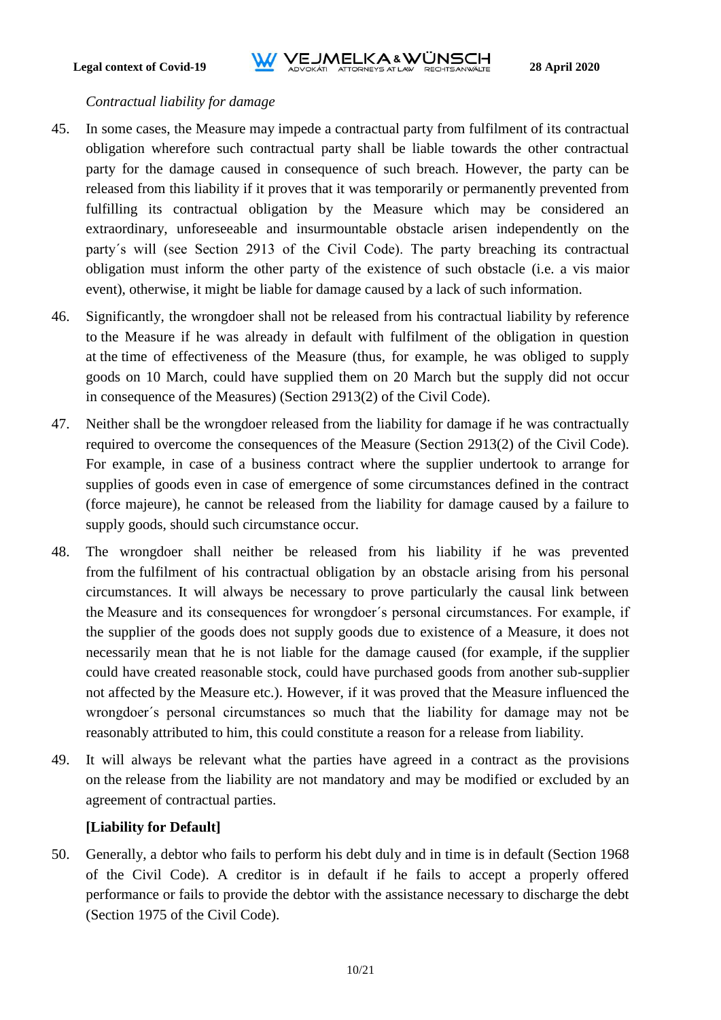#### *Contractual liability for damage*

- 45. In some cases, the Measure may impede a contractual party from fulfilment of its contractual obligation wherefore such contractual party shall be liable towards the other contractual party for the damage caused in consequence of such breach. However, the party can be released from this liability if it proves that it was temporarily or permanently prevented from fulfilling its contractual obligation by the Measure which may be considered an extraordinary, unforeseeable and insurmountable obstacle arisen independently on the party´s will (see Section 2913 of the Civil Code). The party breaching its contractual obligation must inform the other party of the existence of such obstacle (i.e. a vis maior event), otherwise, it might be liable for damage caused by a lack of such information.
- 46. Significantly, the wrongdoer shall not be released from his contractual liability by reference to the Measure if he was already in default with fulfilment of the obligation in question at the time of effectiveness of the Measure (thus, for example, he was obliged to supply goods on 10 March, could have supplied them on 20 March but the supply did not occur in consequence of the Measures) (Section 2913(2) of the Civil Code).
- 47. Neither shall be the wrongdoer released from the liability for damage if he was contractually required to overcome the consequences of the Measure (Section 2913(2) of the Civil Code). For example, in case of a business contract where the supplier undertook to arrange for supplies of goods even in case of emergence of some circumstances defined in the contract (force majeure), he cannot be released from the liability for damage caused by a failure to supply goods, should such circumstance occur.
- 48. The wrongdoer shall neither be released from his liability if he was prevented from the fulfilment of his contractual obligation by an obstacle arising from his personal circumstances. It will always be necessary to prove particularly the causal link between the Measure and its consequences for wrongdoer´s personal circumstances. For example, if the supplier of the goods does not supply goods due to existence of a Measure, it does not necessarily mean that he is not liable for the damage caused (for example, if the supplier could have created reasonable stock, could have purchased goods from another sub-supplier not affected by the Measure etc.). However, if it was proved that the Measure influenced the wrongdoer´s personal circumstances so much that the liability for damage may not be reasonably attributed to him, this could constitute a reason for a release from liability.
- 49. It will always be relevant what the parties have agreed in a contract as the provisions on the release from the liability are not mandatory and may be modified or excluded by an agreement of contractual parties.

# **[Liability for Default]**

50. Generally, a debtor who fails to perform his debt duly and in time is in default (Section 1968 of the Civil Code). A creditor is in default if he fails to accept a properly offered performance or fails to provide the debtor with the assistance necessary to discharge the debt (Section 1975 of the Civil Code).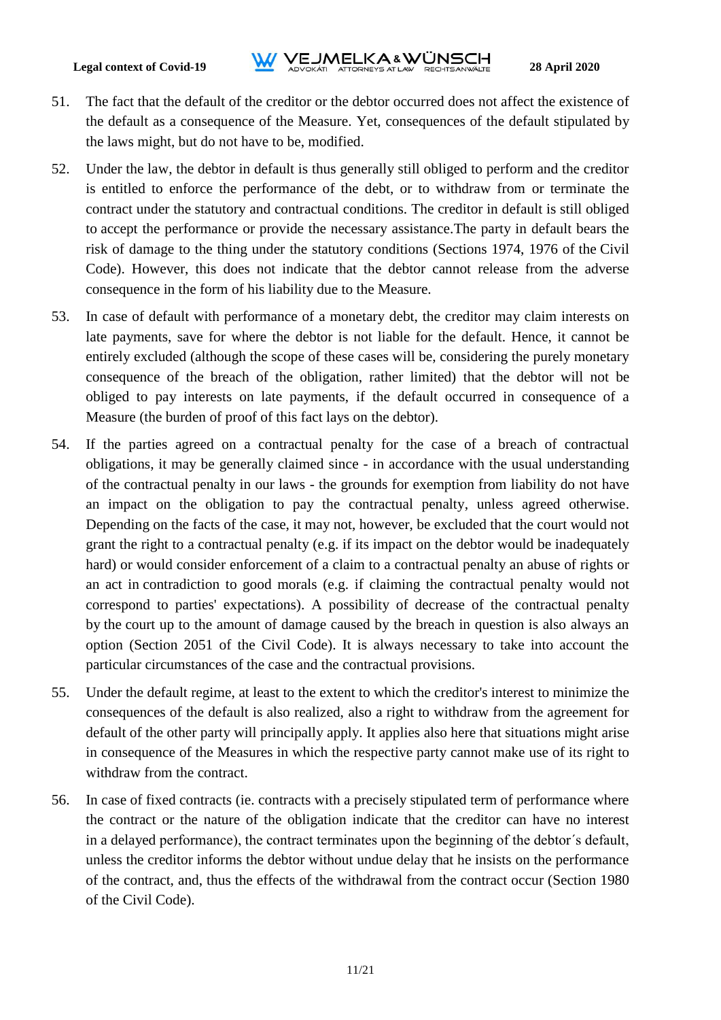- 51. The fact that the default of the creditor or the debtor occurred does not affect the existence of the default as a consequence of the Measure. Yet, consequences of the default stipulated by the laws might, but do not have to be, modified.
- 52. Under the law, the debtor in default is thus generally still obliged to perform and the creditor is entitled to enforce the performance of the debt, or to withdraw from or terminate the contract under the statutory and contractual conditions. The creditor in default is still obliged to accept the performance or provide the necessary assistance.The party in default bears the risk of damage to the thing under the statutory conditions (Sections 1974, 1976 of the Civil Code). However, this does not indicate that the debtor cannot release from the adverse consequence in the form of his liability due to the Measure.
- 53. In case of default with performance of a monetary debt, the creditor may claim interests on late payments, save for where the debtor is not liable for the default. Hence, it cannot be entirely excluded (although the scope of these cases will be, considering the purely monetary consequence of the breach of the obligation, rather limited) that the debtor will not be obliged to pay interests on late payments, if the default occurred in consequence of a Measure (the burden of proof of this fact lays on the debtor).
- 54. If the parties agreed on a contractual penalty for the case of a breach of contractual obligations, it may be generally claimed since - in accordance with the usual understanding of the contractual penalty in our laws - the grounds for exemption from liability do not have an impact on the obligation to pay the contractual penalty, unless agreed otherwise. Depending on the facts of the case, it may not, however, be excluded that the court would not grant the right to a contractual penalty (e.g. if its impact on the debtor would be inadequately hard) or would consider enforcement of a claim to a contractual penalty an abuse of rights or an act in contradiction to good morals (e.g. if claiming the contractual penalty would not correspond to parties' expectations). A possibility of decrease of the contractual penalty by the court up to the amount of damage caused by the breach in question is also always an option (Section 2051 of the Civil Code). It is always necessary to take into account the particular circumstances of the case and the contractual provisions.
- 55. Under the default regime, at least to the extent to which the creditor's interest to minimize the consequences of the default is also realized, also a right to withdraw from the agreement for default of the other party will principally apply. It applies also here that situations might arise in consequence of the Measures in which the respective party cannot make use of its right to withdraw from the contract.
- 56. In case of fixed contracts (ie. contracts with a precisely stipulated term of performance where the contract or the nature of the obligation indicate that the creditor can have no interest in a delayed performance), the contract terminates upon the beginning of the debtor´s default, unless the creditor informs the debtor without undue delay that he insists on the performance of the contract, and, thus the effects of the withdrawal from the contract occur (Section 1980 of the Civil Code).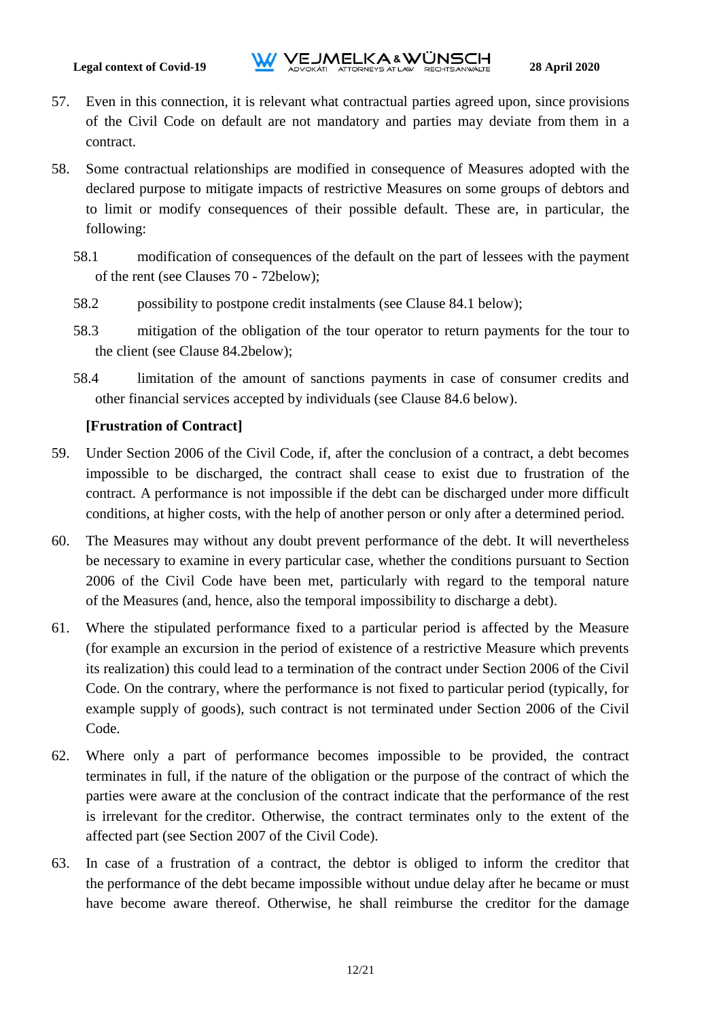- 57. Even in this connection, it is relevant what contractual parties agreed upon, since provisions of the Civil Code on default are not mandatory and parties may deviate from them in a contract.
- 58. Some contractual relationships are modified in consequence of Measures adopted with the declared purpose to mitigate impacts of restrictive Measures on some groups of debtors and to limit or modify consequences of their possible default. These are, in particular, the following:
	- 58.1 modification of consequences of the default on the part of lessees with the payment of the rent (see Clauses [70](#page-13-0) - [72b](#page-13-1)elow);
	- 58.2 possibility to postpone credit instalments (see Clause [84.1](#page-18-0) below);
	- 58.3 mitigation of the obligation of the tour operator to return payments for the tour to the client (see Clause [84.2b](#page-18-1)elow);
	- 58.4 limitation of the amount of sanctions payments in case of consumer credits and other financial services accepted by individuals (see Clause [84.6](#page-20-0) below).

## **[Frustration of Contract]**

- 59. Under Section 2006 of the Civil Code, if, after the conclusion of a contract, a debt becomes impossible to be discharged, the contract shall cease to exist due to frustration of the contract. A performance is not impossible if the debt can be discharged under more difficult conditions, at higher costs, with the help of another person or only after a determined period.
- 60. The Measures may without any doubt prevent performance of the debt. It will nevertheless be necessary to examine in every particular case, whether the conditions pursuant to Section 2006 of the Civil Code have been met, particularly with regard to the temporal nature of the Measures (and, hence, also the temporal impossibility to discharge a debt).
- 61. Where the stipulated performance fixed to a particular period is affected by the Measure (for example an excursion in the period of existence of a restrictive Measure which prevents its realization) this could lead to a termination of the contract under Section 2006 of the Civil Code. On the contrary, where the performance is not fixed to particular period (typically, for example supply of goods), such contract is not terminated under Section 2006 of the Civil Code.
- 62. Where only a part of performance becomes impossible to be provided, the contract terminates in full, if the nature of the obligation or the purpose of the contract of which the parties were aware at the conclusion of the contract indicate that the performance of the rest is irrelevant for the creditor. Otherwise, the contract terminates only to the extent of the affected part (see Section 2007 of the Civil Code).
- 63. In case of a frustration of a contract, the debtor is obliged to inform the creditor that the performance of the debt became impossible without undue delay after he became or must have become aware thereof. Otherwise, he shall reimburse the creditor for the damage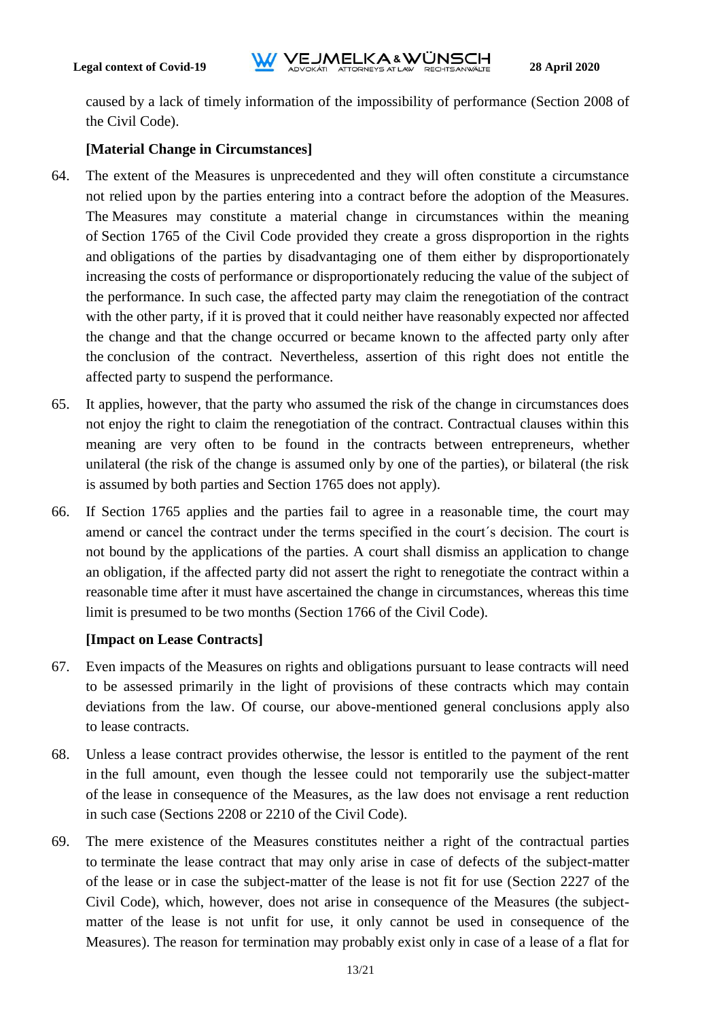caused by a lack of timely information of the impossibility of performance (Section 2008 of the Civil Code).

# **[Material Change in Circumstances]**

- 64. The extent of the Measures is unprecedented and they will often constitute a circumstance not relied upon by the parties entering into a contract before the adoption of the Measures. The Measures may constitute a material change in circumstances within the meaning of Section 1765 of the Civil Code provided they create a gross disproportion in the rights and obligations of the parties by disadvantaging one of them either by disproportionately increasing the costs of performance or disproportionately reducing the value of the subject of the performance. In such case, the affected party may claim the renegotiation of the contract with the other party, if it is proved that it could neither have reasonably expected nor affected the change and that the change occurred or became known to the affected party only after the conclusion of the contract. Nevertheless, assertion of this right does not entitle the affected party to suspend the performance.
- 65. It applies, however, that the party who assumed the risk of the change in circumstances does not enjoy the right to claim the renegotiation of the contract. Contractual clauses within this meaning are very often to be found in the contracts between entrepreneurs, whether unilateral (the risk of the change is assumed only by one of the parties), or bilateral (the risk is assumed by both parties and Section 1765 does not apply).
- 66. If Section 1765 applies and the parties fail to agree in a reasonable time, the court may amend or cancel the contract under the terms specified in the court´s decision. The court is not bound by the applications of the parties. A court shall dismiss an application to change an obligation, if the affected party did not assert the right to renegotiate the contract within a reasonable time after it must have ascertained the change in circumstances, whereas this time limit is presumed to be two months (Section 1766 of the Civil Code).

# **[Impact on Lease Contracts]**

- 67. Even impacts of the Measures on rights and obligations pursuant to lease contracts will need to be assessed primarily in the light of provisions of these contracts which may contain deviations from the law. Of course, our above-mentioned general conclusions apply also to lease contracts.
- 68. Unless a lease contract provides otherwise, the lessor is entitled to the payment of the rent in the full amount, even though the lessee could not temporarily use the subject-matter of the lease in consequence of the Measures, as the law does not envisage a rent reduction in such case (Sections 2208 or 2210 of the Civil Code).
- 69. The mere existence of the Measures constitutes neither a right of the contractual parties to terminate the lease contract that may only arise in case of defects of the subject-matter of the lease or in case the subject-matter of the lease is not fit for use (Section 2227 of the Civil Code), which, however, does not arise in consequence of the Measures (the subjectmatter of the lease is not unfit for use, it only cannot be used in consequence of the Measures). The reason for termination may probably exist only in case of a lease of a flat for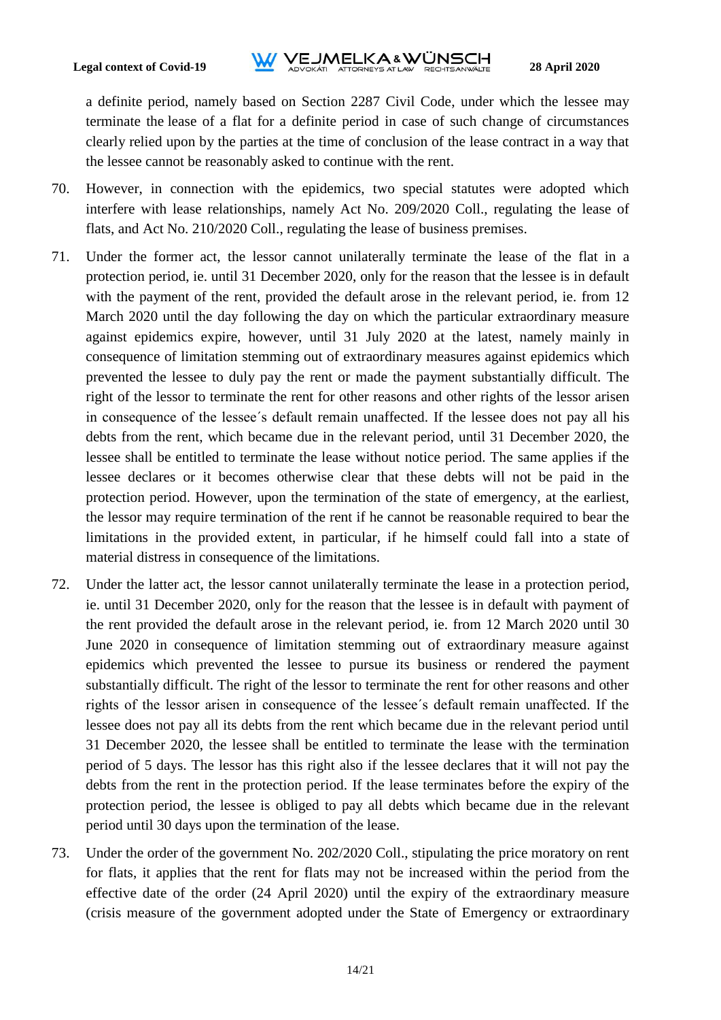# **Legal context of Covid-19**<br>**ADVOKATL ATTORNEYS AT LAW RECHTSANWALTE** 28 April 2020

a definite period, namely based on Section 2287 Civil Code, under which the lessee may terminate the lease of a flat for a definite period in case of such change of circumstances clearly relied upon by the parties at the time of conclusion of the lease contract in a way that the lessee cannot be reasonably asked to continue with the rent.

- <span id="page-13-0"></span>70. However, in connection with the epidemics, two special statutes were adopted which interfere with lease relationships, namely Act No. 209/2020 Coll., regulating the lease of flats, and Act No. 210/2020 Coll., regulating the lease of business premises.
- <span id="page-13-2"></span>71. Under the former act, the lessor cannot unilaterally terminate the lease of the flat in a protection period, ie. until 31 December 2020, only for the reason that the lessee is in default with the payment of the rent, provided the default arose in the relevant period, ie. from 12 March 2020 until the day following the day on which the particular extraordinary measure against epidemics expire, however, until 31 July 2020 at the latest, namely mainly in consequence of limitation stemming out of extraordinary measures against epidemics which prevented the lessee to duly pay the rent or made the payment substantially difficult. The right of the lessor to terminate the rent for other reasons and other rights of the lessor arisen in consequence of the lessee´s default remain unaffected. If the lessee does not pay all his debts from the rent, which became due in the relevant period, until 31 December 2020, the lessee shall be entitled to terminate the lease without notice period. The same applies if the lessee declares or it becomes otherwise clear that these debts will not be paid in the protection period. However, upon the termination of the state of emergency, at the earliest, the lessor may require termination of the rent if he cannot be reasonable required to bear the limitations in the provided extent, in particular, if he himself could fall into a state of material distress in consequence of the limitations.
- <span id="page-13-1"></span>72. Under the latter act, the lessor cannot unilaterally terminate the lease in a protection period, ie. until 31 December 2020, only for the reason that the lessee is in default with payment of the rent provided the default arose in the relevant period, ie. from 12 March 2020 until 30 June 2020 in consequence of limitation stemming out of extraordinary measure against epidemics which prevented the lessee to pursue its business or rendered the payment substantially difficult. The right of the lessor to terminate the rent for other reasons and other rights of the lessor arisen in consequence of the lessee´s default remain unaffected. If the lessee does not pay all its debts from the rent which became due in the relevant period until 31 December 2020, the lessee shall be entitled to terminate the lease with the termination period of 5 days. The lessor has this right also if the lessee declares that it will not pay the debts from the rent in the protection period. If the lease terminates before the expiry of the protection period, the lessee is obliged to pay all debts which became due in the relevant period until 30 days upon the termination of the lease.
- 73. Under the order of the government No. 202/2020 Coll., stipulating the price moratory on rent for flats, it applies that the rent for flats may not be increased within the period from the effective date of the order (24 April 2020) until the expiry of the extraordinary measure (crisis measure of the government adopted under the State of Emergency or extraordinary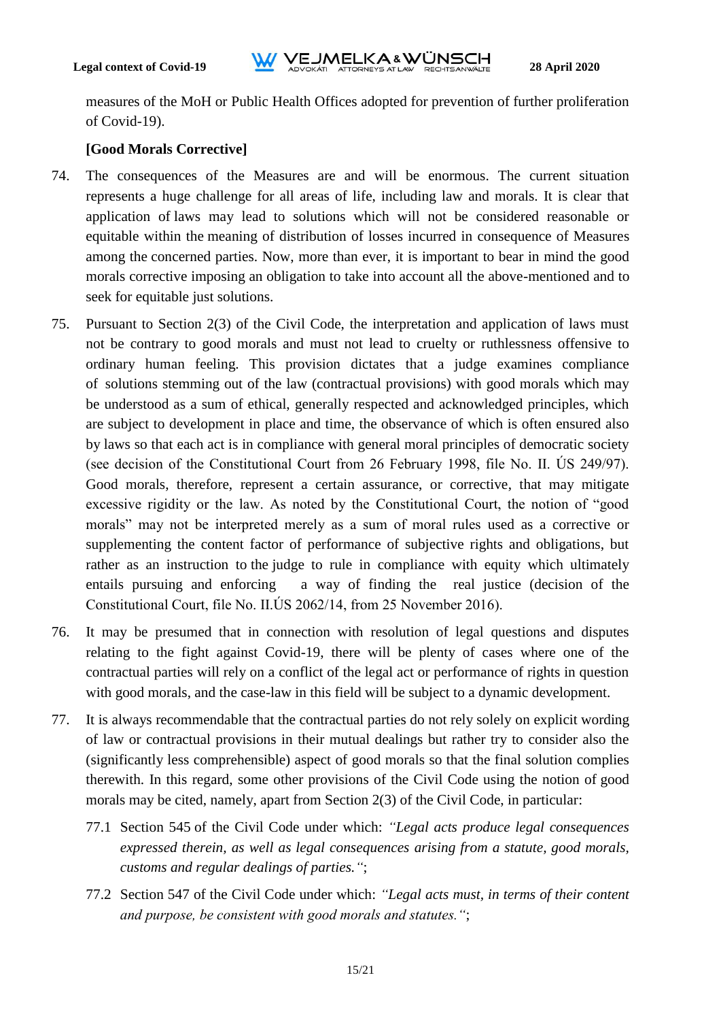measures of the MoH or Public Health Offices adopted for prevention of further proliferation of Covid-19).

## **[Good Morals Corrective]**

- 74. The consequences of the Measures are and will be enormous. The current situation represents a huge challenge for all areas of life, including law and morals. It is clear that application of laws may lead to solutions which will not be considered reasonable or equitable within the meaning of distribution of losses incurred in consequence of Measures among the concerned parties. Now, more than ever, it is important to bear in mind the good morals corrective imposing an obligation to take into account all the above-mentioned and to seek for equitable just solutions.
- 75. Pursuant to Section 2(3) of the Civil Code, the interpretation and application of laws must not be contrary to good morals and must not lead to cruelty or ruthlessness offensive to ordinary human feeling. This provision dictates that a judge examines compliance of solutions stemming out of the law (contractual provisions) with good morals which may be understood as a sum of ethical, generally respected and acknowledged principles, which are subject to development in place and time, the observance of which is often ensured also by laws so that each act is in compliance with general moral principles of democratic society (see decision of the Constitutional Court from 26 February 1998, file No. II. ÚS 249/97). Good morals, therefore, represent a certain assurance, or corrective, that may mitigate excessive rigidity or the law. As noted by the Constitutional Court, the notion of "good morals" may not be interpreted merely as a sum of moral rules used as a corrective or supplementing the content factor of performance of subjective rights and obligations, but rather as an instruction to the judge to rule in compliance with equity which ultimately entails pursuing and enforcing a way of finding the real justice (decision of the Constitutional Court, file No. II.ÚS 2062/14, from 25 November 2016).
- 76. It may be presumed that in connection with resolution of legal questions and disputes relating to the fight against Covid-19, there will be plenty of cases where one of the contractual parties will rely on a conflict of the legal act or performance of rights in question with good morals, and the case-law in this field will be subject to a dynamic development.
- 77. It is always recommendable that the contractual parties do not rely solely on explicit wording of law or contractual provisions in their mutual dealings but rather try to consider also the (significantly less comprehensible) aspect of good morals so that the final solution complies therewith. In this regard, some other provisions of the Civil Code using the notion of good morals may be cited, namely, apart from Section 2(3) of the Civil Code, in particular:
	- 77.1 Section 545 of the Civil Code under which: *"Legal acts produce legal consequences expressed therein, as well as legal consequences arising from a statute, good morals, customs and regular dealings of parties."*;
	- 77.2 Section 547 of the Civil Code under which: *"Legal acts must, in terms of their content and purpose, be consistent with good morals and statutes."*;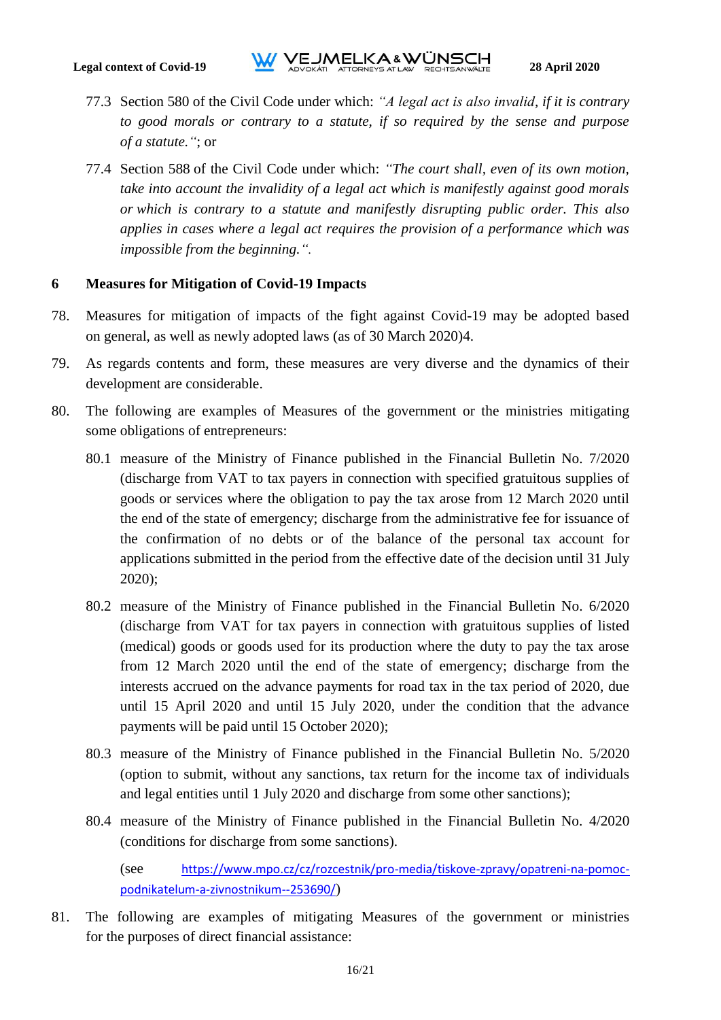- 77.3 Section 580 of the Civil Code under which: *"A legal act is also invalid, if it is contrary to good morals or contrary to a statute, if so required by the sense and purpose of a statute."*; or
- 77.4 Section 588 of the Civil Code under which: *"The court shall, even of its own motion, take into account the invalidity of a legal act which is manifestly against good morals or which is contrary to a statute and manifestly disrupting public order. This also applies in cases where a legal act requires the provision of a performance which was impossible from the beginning.".*

#### <span id="page-15-0"></span>**6 Measures for Mitigation of Covid-19 Impacts**

- 78. Measures for mitigation of impacts of the fight against Covid-19 may be adopted based on general, as well as newly adopted laws (as of 30 March 2020)4.
- 79. As regards contents and form, these measures are very diverse and the dynamics of their development are considerable.
- 80. The following are examples of Measures of the government or the ministries mitigating some obligations of entrepreneurs:
	- 80.1 measure of the Ministry of Finance published in the Financial Bulletin No. 7/2020 (discharge from VAT to tax payers in connection with specified gratuitous supplies of goods or services where the obligation to pay the tax arose from 12 March 2020 until the end of the state of emergency; discharge from the administrative fee for issuance of the confirmation of no debts or of the balance of the personal tax account for applications submitted in the period from the effective date of the decision until 31 July 2020);
	- 80.2 measure of the Ministry of Finance published in the Financial Bulletin No. 6/2020 (discharge from VAT for tax payers in connection with gratuitous supplies of listed (medical) goods or goods used for its production where the duty to pay the tax arose from 12 March 2020 until the end of the state of emergency; discharge from the interests accrued on the advance payments for road tax in the tax period of 2020, due until 15 April 2020 and until 15 July 2020, under the condition that the advance payments will be paid until 15 October 2020);
	- 80.3 measure of the Ministry of Finance published in the Financial Bulletin No. 5/2020 (option to submit, without any sanctions, tax return for the income tax of individuals and legal entities until 1 July 2020 and discharge from some other sanctions);
	- 80.4 measure of the Ministry of Finance published in the Financial Bulletin No. 4/2020 (conditions for discharge from some sanctions).

(see https://www.mpo.cz/cz/rozcestnik/pro-media/tiskove-zpravy/opatreni-na-pomocpodnikatelum-a-zivnostnikum--253690/)

81. The following are examples of mitigating Measures of the government or ministries for the purposes of direct financial assistance: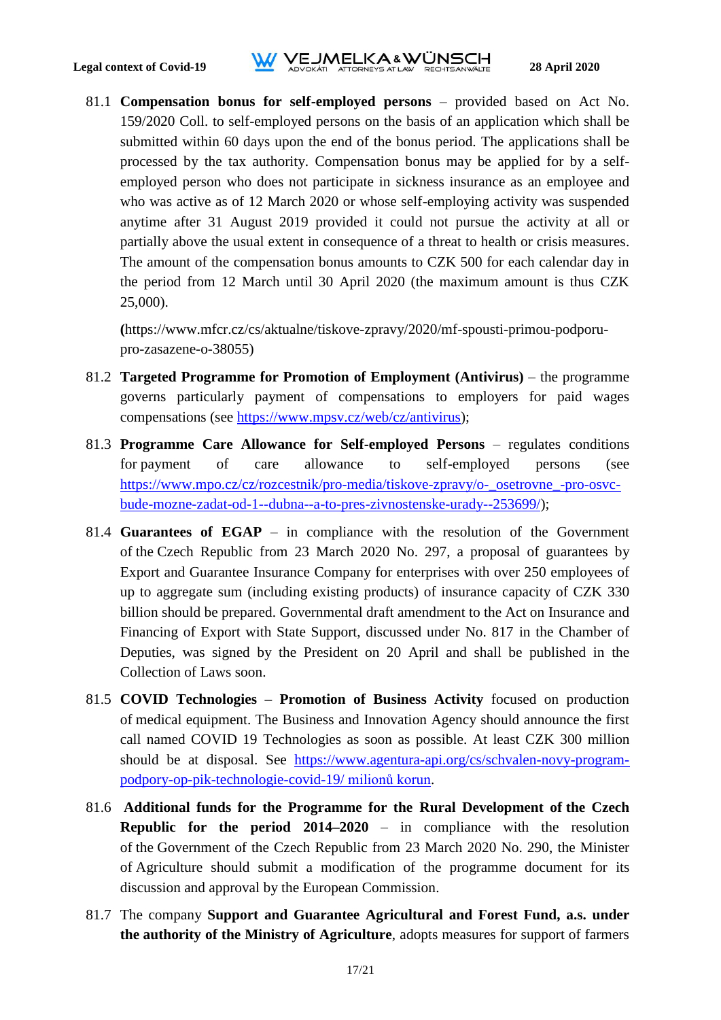# **Legal context of Covid-19**<br>**12020**<br>**Legal context of Covid-19**<br>**ADVOKATLATIORNEYS AT LAW RECHTSANWALTE**

81.1 **Compensation bonus for self-employed persons** – provided based on Act No. 159/2020 Coll. to self-employed persons on the basis of an application which shall be submitted within 60 days upon the end of the bonus period. The applications shall be processed by the tax authority. Compensation bonus may be applied for by a selfemployed person who does not participate in sickness insurance as an employee and who was active as of 12 March 2020 or whose self-employing activity was suspended anytime after 31 August 2019 provided it could not pursue the activity at all or partially above the usual extent in consequence of a threat to health or crisis measures. The amount of the compensation bonus amounts to CZK 500 for each calendar day in the period from 12 March until 30 April 2020 (the maximum amount is thus CZK 25,000).

**(**https://www.mfcr.cz/cs/aktualne/tiskove-zpravy/2020/mf-spousti-primou-podporupro-zasazene-o-38055)

- 81.2 **Targeted Programme for Promotion of Employment (Antivirus)** the programme governs particularly payment of compensations to employers for paid wages compensations (see [https://www.mpsv.cz/web/cz/antivirus\)](https://www.mpsv.cz/web/cz/antivirus);
- 81.3 **Programme Care Allowance for Self-employed Persons** regulates conditions for payment of care allowance to self-employed persons (see [https://www.mpo.cz/cz/rozcestnik/pro-media/tiskove-zpravy/o-\\_osetrovne\\_-pro-osvc](https://www.mpo.cz/cz/rozcestnik/pro-media/tiskove-zpravy/o-_osetrovne_-pro-osvc-bude-mozne-zadat-od-1--dubna--a-to-pres-zivnostenske-urady--253699/)[bude-mozne-zadat-od-1--dubna--a-to-pres-zivnostenske-urady--253699/\)](https://www.mpo.cz/cz/rozcestnik/pro-media/tiskove-zpravy/o-_osetrovne_-pro-osvc-bude-mozne-zadat-od-1--dubna--a-to-pres-zivnostenske-urady--253699/);
- 81.4 **Guarantees of EGAP** in compliance with the resolution of the Government of the Czech Republic from 23 March 2020 No. 297, a proposal of guarantees by Export and Guarantee Insurance Company for enterprises with over 250 employees of up to aggregate sum (including existing products) of insurance capacity of CZK 330 billion should be prepared. Governmental draft amendment to the Act on Insurance and Financing of Export with State Support, discussed under No. 817 in the Chamber of Deputies, was signed by the President on 20 April and shall be published in the Collection of Laws soon.
- 81.5 **COVID Technologies – Promotion of Business Activity** focused on production of medical equipment. The Business and Innovation Agency should announce the first call named COVID 19 Technologies as soon as possible. At least CZK 300 million should be at disposal. See https://www.agentura-api.org/cs/schvalen-novy-programpodpory-op-pik-technologie-covid-19/ milionů korun.
- 81.6 **Additional funds for the Programme for the Rural Development of the Czech Republic for the period 2014–2020** – in compliance with the resolution of the Government of the Czech Republic from 23 March 2020 No. 290, the Minister of Agriculture should submit a modification of the programme document for its discussion and approval by the European Commission.
- 81.7 The company **Support and Guarantee Agricultural and Forest Fund, a.s. under the authority of the Ministry of Agriculture**, adopts measures for support of farmers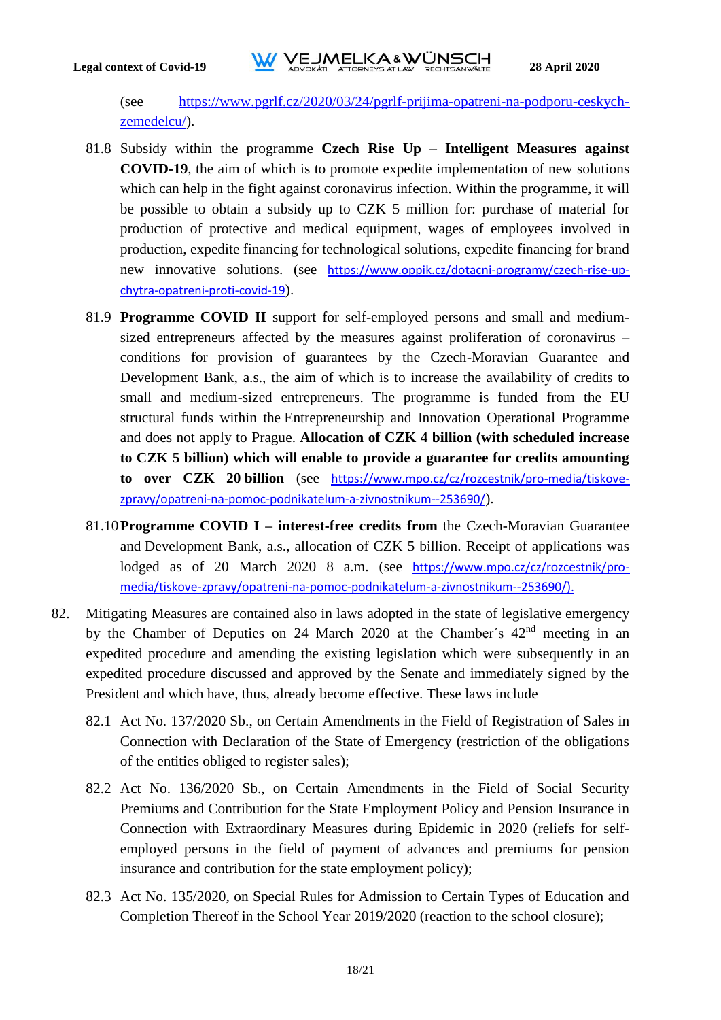(see [https://www.pgrlf.cz/2020/03/24/pgrlf-prijima-opatreni-na-podporu-ceskych](https://www.pgrlf.cz/2020/03/24/pgrlf-prijima-opatreni-na-podporu-ceskych-zemedelcu/)[zemedelcu/\)](https://www.pgrlf.cz/2020/03/24/pgrlf-prijima-opatreni-na-podporu-ceskych-zemedelcu/).

- 81.8 Subsidy within the programme **Czech Rise Up – Intelligent Measures against COVID-19**, the aim of which is to promote expedite implementation of new solutions which can help in the fight against coronavirus infection. Within the programme, it will be possible to obtain a subsidy up to CZK 5 million for: purchase of material for production of protective and medical equipment, wages of employees involved in production, expedite financing for technological solutions, expedite financing for brand new innovative solutions. (see https://www.oppik.cz/dotacni-programy/czech-rise-upchytra-opatreni-proti-covid-19).
- 81.9 **Programme COVID II** support for self-employed persons and small and mediumsized entrepreneurs affected by the measures against proliferation of coronavirus – conditions for provision of guarantees by the Czech-Moravian Guarantee and Development Bank, a.s., the aim of which is to increase the availability of credits to small and medium-sized entrepreneurs. The programme is funded from the EU structural funds within the Entrepreneurship and Innovation Operational Programme and does not apply to Prague. **Allocation of CZK 4 billion (with scheduled increase to CZK 5 billion) which will enable to provide a guarantee for credits amounting to over CZK 20 billion** (see https://www.mpo.cz/cz/rozcestnik/pro-media/tiskovezpravy/opatreni-na-pomoc-podnikatelum-a-zivnostnikum--253690/).
- 81.10**Programme COVID I – interest-free credits from** the Czech-Moravian Guarantee and Development Bank, a.s., allocation of CZK 5 billion. Receipt of applications was lodged as of 20 March 2020 8 a.m. (see https://www.mpo.cz/cz/rozcestnik/promedia/tiskove-zpravy/opatreni-na-pomoc-podnikatelum-a-zivnostnikum--253690/).
- 82. Mitigating Measures are contained also in laws adopted in the state of legislative emergency by the Chamber of Deputies on 24 March 2020 at the Chamber's  $42<sup>nd</sup>$  meeting in an expedited procedure and amending the existing legislation which were subsequently in an expedited procedure discussed and approved by the Senate and immediately signed by the President and which have, thus, already become effective. These laws include
	- 82.1 Act No. 137/2020 Sb., on Certain Amendments in the Field of Registration of Sales in Connection with Declaration of the State of Emergency (restriction of the obligations of the entities obliged to register sales);
	- 82.2 Act No. 136/2020 Sb., on Certain Amendments in the Field of Social Security Premiums and Contribution for the State Employment Policy and Pension Insurance in Connection with Extraordinary Measures during Epidemic in 2020 (reliefs for selfemployed persons in the field of payment of advances and premiums for pension insurance and contribution for the state employment policy);
	- 82.3 Act No. 135/2020, on Special Rules for Admission to Certain Types of Education and Completion Thereof in the School Year 2019/2020 (reaction to the school closure);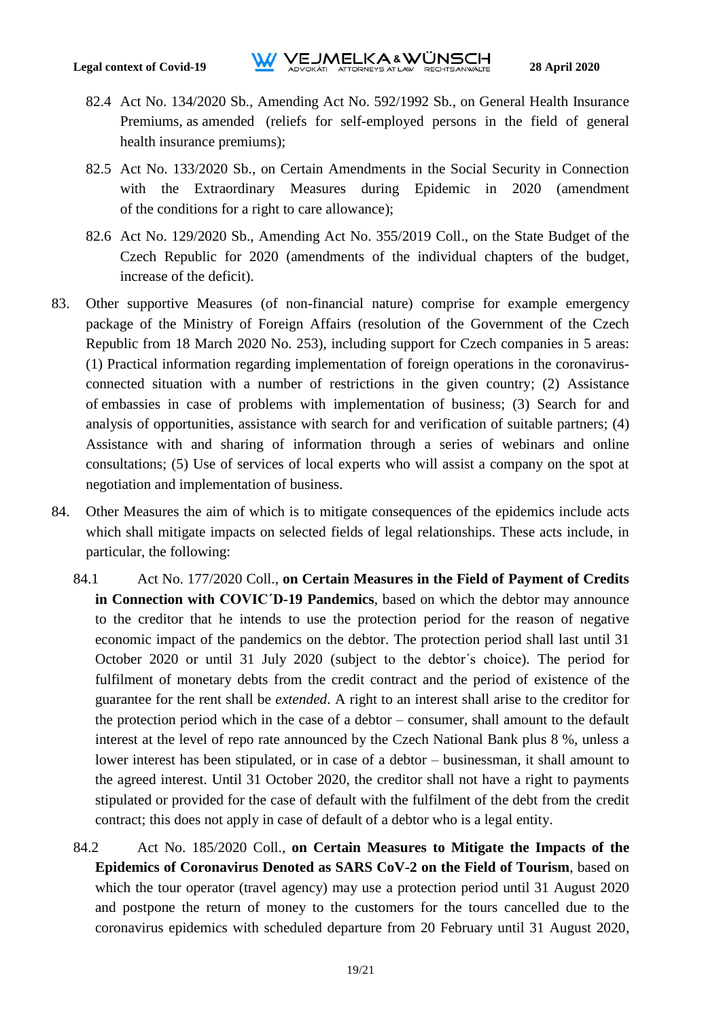- 82.4 Act No. 134/2020 Sb., Amending Act No. [592/1992 Sb.,](https://www.zakonyprolidi.cz/cs/1992-592) on General Health Insurance Premiums, as amended (reliefs for self-employed persons in the field of general health insurance premiums);
- 82.5 Act No. 133/2020 Sb., on Certain Amendments in the Social Security in Connection with the Extraordinary Measures during Epidemic in 2020 (amendment of the conditions for a right to care allowance);
- 82.6 Act No. [129/2020 Sb.,](https://www.zakonyprolidi.cz/cs/2020-129) Amending Act No. 355/2019 Coll., on the State Budget of the Czech Republic for 2020 (amendments of the individual chapters of the budget, increase of the deficit).
- 83. Other supportive Measures (of non-financial nature) comprise for example emergency package of the Ministry of Foreign Affairs (resolution of the Government of the Czech Republic from 18 March 2020 No. 253), including support for Czech companies in 5 areas: (1) Practical information regarding implementation of foreign operations in the coronavirusconnected situation with a number of restrictions in the given country; (2) Assistance of embassies in case of problems with implementation of business; (3) Search for and analysis of opportunities, assistance with search for and verification of suitable partners; (4) Assistance with and sharing of information through a series of webinars and online consultations; (5) Use of services of local experts who will assist a company on the spot at negotiation and implementation of business.
- <span id="page-18-1"></span><span id="page-18-0"></span>84. Other Measures the aim of which is to mitigate consequences of the epidemics include acts which shall mitigate impacts on selected fields of legal relationships. These acts include, in particular, the following:
	- 84.1 Act No. 177/2020 Coll., **on Certain Measures in the Field of Payment of Credits in Connection with COVIC´D-19 Pandemics**, based on which the debtor may announce to the creditor that he intends to use the protection period for the reason of negative economic impact of the pandemics on the debtor. The protection period shall last until 31 October 2020 or until 31 July 2020 (subject to the debtor´s choice). The period for fulfilment of monetary debts from the credit contract and the period of existence of the guarantee for the rent shall be *extended*. A right to an interest shall arise to the creditor for the protection period which in the case of a debtor – consumer, shall amount to the default interest at the level of repo rate announced by the Czech National Bank plus 8 %, unless a lower interest has been stipulated, or in case of a debtor – businessman, it shall amount to the agreed interest. Until 31 October 2020, the creditor shall not have a right to payments stipulated or provided for the case of default with the fulfilment of the debt from the credit contract; this does not apply in case of default of a debtor who is a legal entity.
	- 84.2 Act No. 185/2020 Coll., **on Certain Measures to Mitigate the Impacts of the Epidemics of Coronavirus Denoted as SARS CoV-2 on the Field of Tourism**, based on which the tour operator (travel agency) may use a protection period until 31 August 2020 and postpone the return of money to the customers for the tours cancelled due to the coronavirus epidemics with scheduled departure from 20 February until 31 August 2020,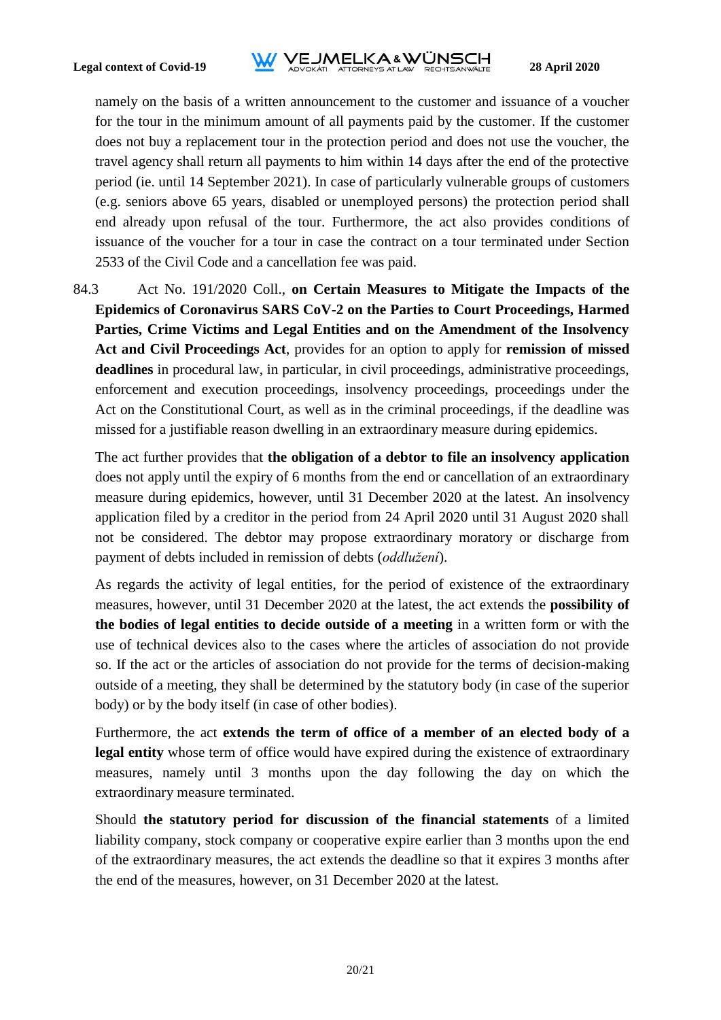# **Legal context of Covid-19**<br>**12020**<br>**Legal context of Covid-19**<br>**ADVOKATLATIORNEYS AT LAW RECHTSANWALTE**

namely on the basis of a written announcement to the customer and issuance of a voucher for the tour in the minimum amount of all payments paid by the customer. If the customer does not buy a replacement tour in the protection period and does not use the voucher, the travel agency shall return all payments to him within 14 days after the end of the protective period (ie. until 14 September 2021). In case of particularly vulnerable groups of customers (e.g. seniors above 65 years, disabled or unemployed persons) the protection period shall end already upon refusal of the tour. Furthermore, the act also provides conditions of issuance of the voucher for a tour in case the contract on a tour terminated under Section 2533 of the Civil Code and a cancellation fee was paid.

84.3 Act No. 191/2020 Coll., **on Certain Measures to Mitigate the Impacts of the Epidemics of Coronavirus SARS CoV-2 on the Parties to Court Proceedings, Harmed Parties, Crime Victims and Legal Entities and on the Amendment of the Insolvency Act and Civil Proceedings Act**, provides for an option to apply for **remission of missed deadlines** in procedural law, in particular, in civil proceedings, administrative proceedings, enforcement and execution proceedings, insolvency proceedings, proceedings under the Act on the Constitutional Court, as well as in the criminal proceedings, if the deadline was missed for a justifiable reason dwelling in an extraordinary measure during epidemics.

The act further provides that **the obligation of a debtor to file an insolvency application** does not apply until the expiry of 6 months from the end or cancellation of an extraordinary measure during epidemics, however, until 31 December 2020 at the latest. An insolvency application filed by a creditor in the period from 24 April 2020 until 31 August 2020 shall not be considered. The debtor may propose extraordinary moratory or discharge from payment of debts included in remission of debts (*oddlužení*).

As regards the activity of legal entities, for the period of existence of the extraordinary measures, however, until 31 December 2020 at the latest, the act extends the **possibility of the bodies of legal entities to decide outside of a meeting** in a written form or with the use of technical devices also to the cases where the articles of association do not provide so. If the act or the articles of association do not provide for the terms of decision-making outside of a meeting, they shall be determined by the statutory body (in case of the superior body) or by the body itself (in case of other bodies).

Furthermore, the act **extends the term of office of a member of an elected body of a legal entity** whose term of office would have expired during the existence of extraordinary measures, namely until 3 months upon the day following the day on which the extraordinary measure terminated.

Should **the statutory period for discussion of the financial statements** of a limited liability company, stock company or cooperative expire earlier than 3 months upon the end of the extraordinary measures, the act extends the deadline so that it expires 3 months after the end of the measures, however, on 31 December 2020 at the latest.